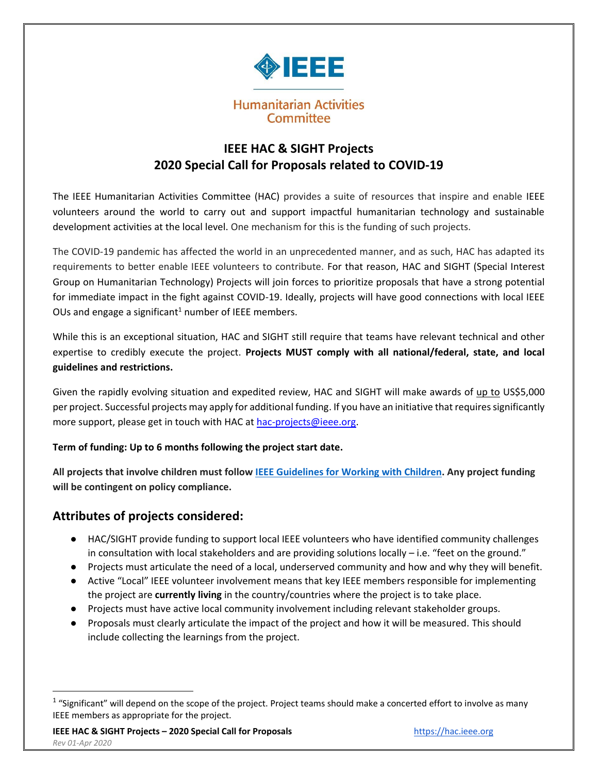

# **IEEE HAC & SIGHT Projects 2020 Special Call for Proposals related to COVID-19**

The IEEE Humanitarian Activities Committee (HAC) provides a suite of resources that inspire and enable IEEE volunteers around the world to carry out and support impactful humanitarian technology and sustainable development activities at the local level. One mechanism for this is the funding of such projects.

The COVID-19 pandemic has affected the world in an unprecedented manner, and as such, HAC has adapted its requirements to better enable IEEE volunteers to contribute. For that reason, HAC and SIGHT (Special Interest Group on Humanitarian Technology) Projects will join forces to prioritize proposals that have a strong potential for immediate impact in the fight against COVID-19. Ideally, projects will have good connections with local IEEE OUs and engage a significant<sup>1</sup> number of IEEE members.

While this is an exceptional situation, HAC and SIGHT still require that teams have relevant technical and other expertise to credibly execute the project. **Projects MUST comply with all national/federal, state, and local guidelines and restrictions.**

Given the rapidly evolving situation and expedited review, HAC and SIGHT will make awards of up to US\$5,000 per project. Successful projects may apply for additional funding. If you have an initiative that requires significantly more support, please get in touch with HAC at [hac-projects@ieee.org.](mailto:hac-projects@ieee.org)

#### **Term of funding: Up to 6 months following the project start date.**

**All projects that involve children must follo[w IEEE Guidelines for Working with Children.](https://www.ieee.org/about/volunteers/risk-insurance/ieee-activities-with-children.html) Any project funding will be contingent on policy compliance.**

# **Attributes of projects considered:**

 $\overline{\phantom{a}}$ 

- HAC/SIGHT provide funding to support local IEEE volunteers who have identified community challenges in consultation with local stakeholders and are providing solutions locally – i.e. "feet on the ground."
- Projects must articulate the need of a local, underserved community and how and why they will benefit.
- Active "Local" IEEE volunteer involvement means that key IEEE members responsible for implementing the project are **currently living** in the country/countries where the project is to take place.
- Projects must have active local community involvement including relevant stakeholder groups.
- Proposals must clearly articulate the impact of the project and how it will be measured. This should include collecting the learnings from the project.

 $1$  "Significant" will depend on the scope of the project. Project teams should make a concerted effort to involve as many IEEE members as appropriate for the project.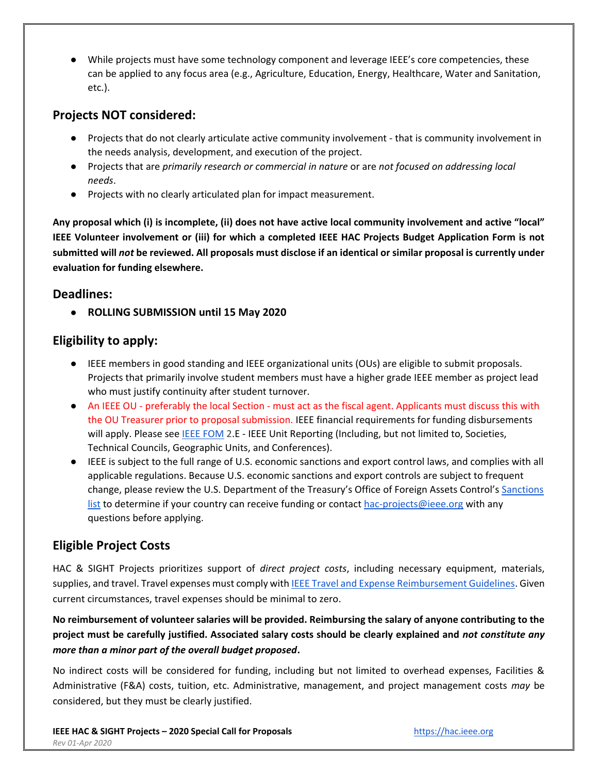● While projects must have some technology component and leverage IEEE's core competencies, these can be applied to any focus area (e.g., Agriculture, Education, Energy, Healthcare, Water and Sanitation, etc.).

### **Projects NOT considered:**

- Projects that do not clearly articulate active community involvement that is community involvement in the needs analysis, development, and execution of the project.
- Projects that are *primarily research or commercial in nature* or are *not focused on addressing local needs*.
- Projects with no clearly articulated plan for impact measurement.

**Any proposal which (i) is incomplete, (ii) does not have active local community involvement and active "local" IEEE Volunteer involvement or (iii) for which a completed IEEE HAC Projects Budget Application Form is not submitted will** *not* **be reviewed. All proposals must disclose if an identical or similar proposal is currently under evaluation for funding elsewhere.** 

### **Deadlines:**

● **ROLLING SUBMISSION until 15 May 2020**

## **Eligibility to apply:**

- IEEE members in good standing and IEEE organizational units (OUs) are eligible to submit proposals. Projects that primarily involve student members must have a higher grade IEEE member as project lead who must justify continuity after student turnover.
- An IEEE OU preferably the local Section must act as the fiscal agent. Applicants must discuss this with the OU Treasurer prior to proposal submission. IEEE financial requirements for funding disbursements will apply. Please see **IEEE FOM 2.E - IEEE Unit Reporting (Including**, but not limited to, Societies, Technical Councils, Geographic Units, and Conferences).
- IEEE is subject to the full range of U.S. economic sanctions and export control laws, and complies with all applicable regulations. Because U.S. economic sanctions and export controls are subject to frequent change, please review the U.S. Department of the Treasury's Office of Foreign Assets Control's [Sanctions](https://www.treasury.gov/resource-center/sanctions/pages/default.aspx)  [list](https://www.treasury.gov/resource-center/sanctions/pages/default.aspx) to determine if your country can receive funding or contact [hac-projects@ieee.org](mailto:hac-projects@ieee.org) with any questions before applying.

# **Eligible Project Costs**

HAC & SIGHT Projects prioritizes support of *direct project costs*, including necessary equipment, materials, supplies, and travel. Travel expenses must comply wit[h IEEE Travel and Expense Reimbursement Guidelines.](https://www.ieee.org/content/dam/ieee-org/ieee/web/org/travel-expense-reimbursement-guidelines.pdf) Given current circumstances, travel expenses should be minimal to zero.

**No reimbursement of volunteer salaries will be provided. Reimbursing the salary of anyone contributing to the project must be carefully justified. Associated salary costs should be clearly explained and** *not constitute any more than a minor part of the overall budget proposed***.**

No indirect costs will be considered for funding, including but not limited to overhead expenses, Facilities & Administrative (F&A) costs, tuition, etc. Administrative, management, and project management costs *may* be considered, but they must be clearly justified.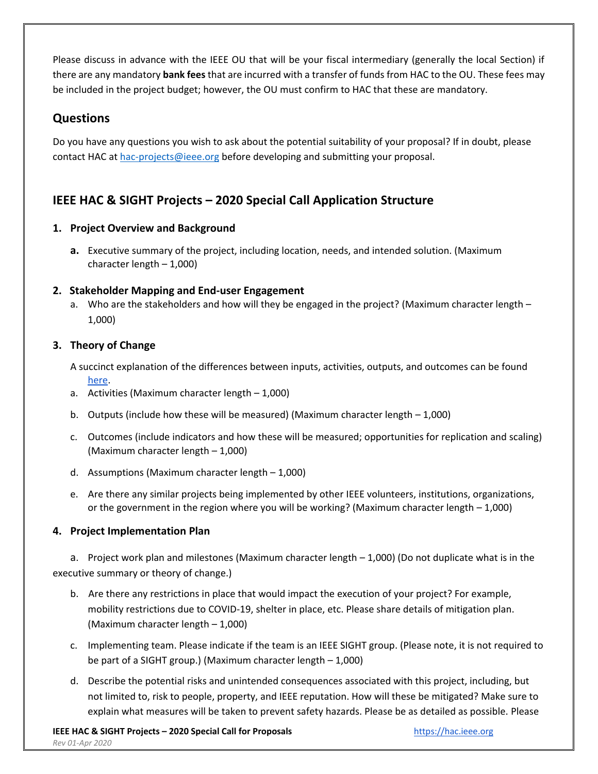Please discuss in advance with the IEEE OU that will be your fiscal intermediary (generally the local Section) if there are any mandatory **bank fees** that are incurred with a transfer of funds from HAC to the OU. These fees may be included in the project budget; however, the OU must confirm to HAC that these are mandatory.

## **Questions**

Do you have any questions you wish to ask about the potential suitability of your proposal? If in doubt, please contact HAC at [hac-projects@ieee.org](mailto:hac-projects@ieee.org) before developing and submitting your proposal.

# **IEEE HAC & SIGHT Projects – 2020 Special Call Application Structure**

#### **1. Project Overview and Background**

**a.** Executive summary of the project, including location, needs, and intended solution. (Maximum character length – 1,000)

#### **2. Stakeholder Mapping and End-user Engagement**

a. Who are the stakeholders and how will they be engaged in the project? (Maximum character length – 1,000)

#### **3. Theory of Change**

A succinct explanation of the differences between inputs, activities, outputs, and outcomes can be found [here.](https://impact-evaluation.net/2013/06/10/difference-between-inputs-activities-outputs-outcomes-and-impact/)

- a. Activities (Maximum character length 1,000)
- b. Outputs (include how these will be measured) (Maximum character length  $-1,000$ )
- c. Outcomes (include indicators and how these will be measured; opportunities for replication and scaling) (Maximum character length – 1,000)
- d. Assumptions (Maximum character length 1,000)
- e. Are there any similar projects being implemented by other IEEE volunteers, institutions, organizations, or the government in the region where you will be working? (Maximum character length – 1,000)

#### **4. Project Implementation Plan**

a. Project work plan and milestones (Maximum character length – 1,000) (Do not duplicate what is in the executive summary or theory of change.)

- b. Are there any restrictions in place that would impact the execution of your project? For example, mobility restrictions due to COVID-19, shelter in place, etc. Please share details of mitigation plan. (Maximum character length – 1,000)
- c. Implementing team. Please indicate if the team is an IEEE SIGHT group. (Please note, it is not required to be part of a SIGHT group.) (Maximum character length – 1,000)
- d. Describe the potential risks and unintended consequences associated with this project, including, but not limited to, risk to people, property, and IEEE reputation. How will these be mitigated? Make sure to explain what measures will be taken to prevent safety hazards. Please be as detailed as possible. Please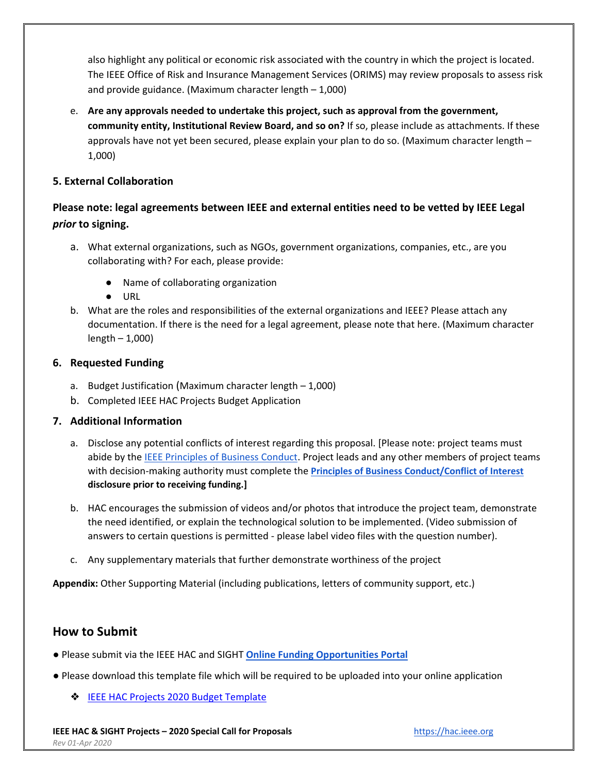also highlight any political or economic risk associated with the country in which the project is located. The IEEE Office of Risk and Insurance Management Services (ORIMS) may review proposals to assess risk and provide guidance. (Maximum character length – 1,000)

e. **Are any approvals needed to undertake this project, such as approval from the government, community entity, Institutional Review Board, and so on?** If so, please include as attachments. If these approvals have not yet been secured, please explain your plan to do so. (Maximum character length – 1,000)

#### **5. External Collaboration**

### **Please note: legal agreements between IEEE and external entities need to be vetted by IEEE Legal**  *prior* **to signing.**

- a. What external organizations, such as NGOs, government organizations, companies, etc., are you collaborating with? For each, please provide:
	- Name of collaborating organization
	- URL
- b. What are the roles and responsibilities of the external organizations and IEEE? Please attach any documentation. If there is the need for a legal agreement, please note that here. (Maximum character length – 1,000)

#### **6. Requested Funding**

- a. Budget Justification (Maximum character length 1,000)
- b. Completed IEEE HAC Projects Budget Application

#### **7. Additional Information**

- a. Disclose any potential conflicts of interest regarding this proposal. [Please note: project teams must abide by the [IEEE Principles of Business Conduct.](https://www.ieee.org/content/dam/ieee-org/ieee/web/org/audit/ieee-principles-of-business-conduct.pdf) Project leads and any other members of project teams with decision-making authority must complete the **[Principles of Business Conduct/Conflict of Interest](https://www.ieee.org/about/compliance/conflict-of-interest/index.html) disclosure prior to receiving funding.]**
- b. HAC encourages the submission of videos and/or photos that introduce the project team, demonstrate the need identified, or explain the technological solution to be implemented. (Video submission of answers to certain questions is permitted - please label video files with the question number).
- c. Any supplementary materials that further demonstrate worthiness of the project

**Appendix:** Other Supporting Material (including publications, letters of community support, etc.)

### **How to Submit**

- Please submit via the IEEE HAC and SIGHT **[Online Funding Opportunities Portal](https://www.grantinterface.com/Home/Logon?urlkey=ieeecorporate)**
- Please download this template file which will be required to be uploaded into your online application
	- ❖ [IEEE HAC Projects 2020 Budget Template](https://drive.google.com/open?id=1GdwbnTm5Nf7MpxbM4osdqTwHSa45Y-hm)